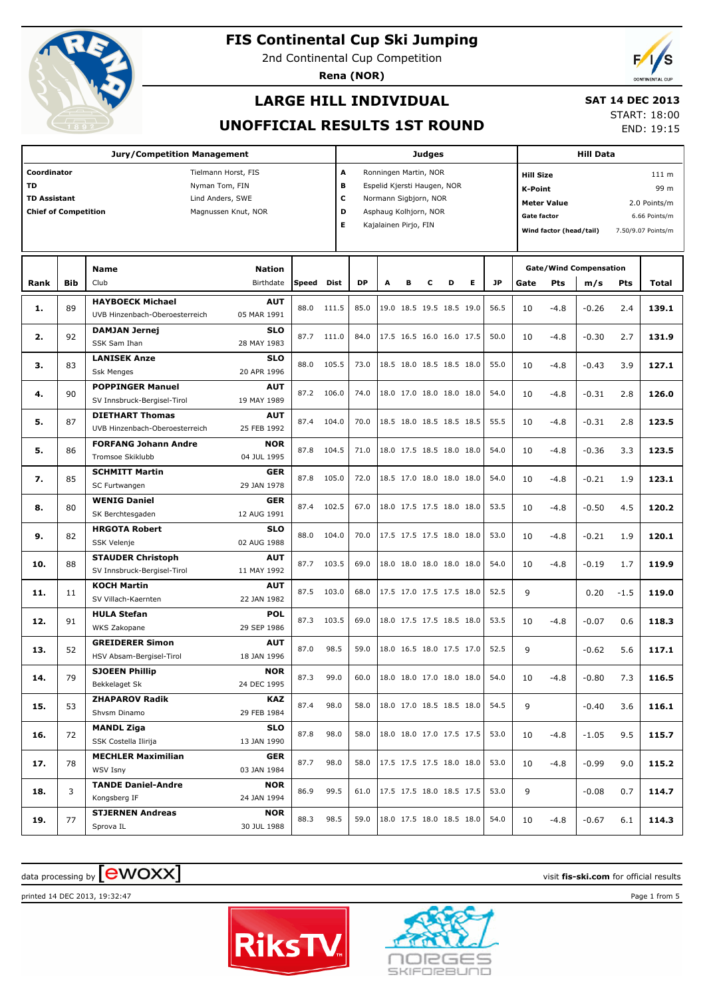

2nd Continental Cup Competition

**Rena (NOR)**



## **LARGE HILL INDIVIDUAL**

## **SAT 14 DEC 2013**

**UNOFFICIAL RESULTS 1ST ROUND**

START: 18:00 END: 19:15

|                             |            | <b>Jury/Competition Management</b>                |                           |       |       |                            |                             |   | Judges |                                 |   |           |                        | <b>Hill Data</b>                    |                               |        |                    |  |
|-----------------------------|------------|---------------------------------------------------|---------------------------|-------|-------|----------------------------|-----------------------------|---|--------|---------------------------------|---|-----------|------------------------|-------------------------------------|-------------------------------|--------|--------------------|--|
| Coordinator                 |            |                                                   | Tielmann Horst, FIS       |       | A     |                            | Ronningen Martin, NOR       |   |        |                                 |   |           | <b>Hill Size</b>       |                                     |                               |        | 111 m              |  |
| <b>TD</b>                   |            |                                                   | Nyman Tom, FIN            |       | в     |                            | Espelid Kjersti Haugen, NOR |   |        |                                 |   |           | 99 m<br><b>K-Point</b> |                                     |                               |        |                    |  |
| <b>TD Assistant</b>         |            |                                                   | Lind Anders, SWE          |       |       | с<br>Normann Sigbjorn, NOR |                             |   |        |                                 |   |           |                        | <b>Meter Value</b><br>2.0 Points/m  |                               |        |                    |  |
| <b>Chief of Competition</b> |            |                                                   | Magnussen Knut, NOR       |       | D     |                            | Asphaug Kolhjorn, NOR       |   |        |                                 |   |           |                        | <b>Gate factor</b><br>6.66 Points/m |                               |        |                    |  |
|                             |            |                                                   |                           |       | E     |                            | Kajalainen Pirjo, FIN       |   |        |                                 |   |           |                        | Wind factor (head/tail)             |                               |        | 7.50/9.07 Points/m |  |
|                             |            |                                                   |                           |       |       |                            |                             |   |        |                                 |   |           |                        |                                     |                               |        |                    |  |
|                             |            | <b>Name</b>                                       | <b>Nation</b>             |       |       |                            |                             |   |        |                                 |   |           |                        |                                     | <b>Gate/Wind Compensation</b> |        |                    |  |
| Rank                        | <b>Bib</b> | Club                                              | Birthdate                 | Speed | Dist  | <b>DP</b>                  | A                           | в | с      | D                               | Е | <b>JP</b> | Gate                   | Pts                                 | m/s                           | Pts    | Total              |  |
|                             |            | <b>HAYBOECK Michael</b>                           | <b>AUT</b>                |       |       |                            |                             |   |        |                                 |   |           |                        |                                     |                               |        |                    |  |
| 1.                          | 89         | UVB Hinzenbach-Oberoesterreich                    | 05 MAR 1991               | 88.0  | 111.5 | 85.0                       |                             |   |        | 19.0 18.5 19.5 18.5 19.0        |   | 56.5      | 10                     | $-4.8$                              | $-0.26$                       | 2.4    | 139.1              |  |
| 2.                          | 92         | <b>DAMJAN Jernej</b>                              | SLO                       | 87.7  | 111.0 | 84.0                       |                             |   |        | 17.5 16.5 16.0 16.0 17.5        |   | 50.0      | 10                     | $-4.8$                              | $-0.30$                       | 2.7    | 131.9              |  |
|                             |            | SSK Sam Ihan                                      | 28 MAY 1983               |       |       |                            |                             |   |        |                                 |   |           |                        |                                     |                               |        |                    |  |
| з.                          | 83         | <b>LANISEK Anze</b>                               | SLO                       | 88.0  | 105.5 | 73.0                       |                             |   |        | 18.5 18.0 18.5 18.5 18.0        |   | 55.0      | 10                     | $-4.8$                              | $-0.43$                       | 3.9    | 127.1              |  |
|                             |            | <b>Ssk Menges</b>                                 | 20 APR 1996               |       |       |                            |                             |   |        |                                 |   |           |                        |                                     |                               |        |                    |  |
| 4.                          | 90         | <b>POPPINGER Manuel</b>                           | <b>AUT</b>                | 87.2  | 106.0 | 74.0                       |                             |   |        | 18.0 17.0 18.0 18.0 18.0        |   | 54.0      | 10                     | $-4.8$                              | $-0.31$                       | 2.8    | 126.0              |  |
|                             |            | SV Innsbruck-Bergisel-Tirol                       | 19 MAY 1989               |       |       |                            |                             |   |        |                                 |   |           |                        |                                     |                               |        |                    |  |
| 5.                          | 87         | <b>DIETHART Thomas</b>                            | <b>AUT</b>                | 87.4  | 104.0 | 70.0                       |                             |   |        | 18.5 18.0 18.5 18.5 18.5        |   | 55.5      | 10                     | $-4.8$                              | $-0.31$                       | 2.8    | 123.5              |  |
|                             |            | UVB Hinzenbach-Oberoesterreich                    | 25 FEB 1992               |       |       |                            |                             |   |        |                                 |   |           |                        |                                     |                               |        |                    |  |
| 5.                          | 86         | <b>FORFANG Johann Andre</b><br>Tromsoe Skiklubb   | <b>NOR</b><br>04 JUL 1995 | 87.8  | 104.5 | 71.0                       |                             |   |        | 18.0 17.5 18.5 18.0 18.0        |   | 54.0      | 10                     | $-4.8$                              | -0.36                         | 3.3    | 123.5              |  |
|                             |            | <b>SCHMITT Martin</b>                             | GER                       |       |       |                            |                             |   |        |                                 |   |           |                        |                                     |                               |        |                    |  |
| 7.                          | 85         | SC Furtwangen                                     | 29 JAN 1978               | 87.8  | 105.0 | 72.0                       |                             |   |        | 18.5 17.0 18.0 18.0 18.0        |   | 54.0      | 10                     | $-4.8$                              | $-0.21$                       | 1.9    | 123.1              |  |
| 8.                          | 80         | <b>WENIG Daniel</b>                               | <b>GER</b>                | 87.4  | 102.5 | 67.0                       |                             |   |        | 18.0 17.5 17.5 18.0 18.0        |   | 53.5      | 10                     | $-4.8$                              | $-0.50$                       | 4.5    | 120.2              |  |
|                             |            | SK Berchtesgaden                                  | 12 AUG 1991               |       |       |                            |                             |   |        |                                 |   |           |                        |                                     |                               |        |                    |  |
| 9.                          | 82         | <b>HRGOTA Robert</b>                              | SLO                       | 88.0  | 104.0 | 70.0                       |                             |   |        | 17.5 17.5 17.5 18.0 18.0        |   | 53.0      | 10                     | $-4.8$                              | $-0.21$                       | 1.9    | 120.1              |  |
|                             |            | SSK Velenje                                       | 02 AUG 1988               |       |       |                            |                             |   |        |                                 |   |           |                        |                                     |                               |        |                    |  |
| 10.                         | 88         | <b>STAUDER Christoph</b>                          | <b>AUT</b><br>11 MAY 1992 | 87.7  | 103.5 | 69.0                       |                             |   |        | 18.0 18.0 18.0 18.0 18.0        |   | 54.0      | 10                     | $-4.8$                              | $-0.19$                       | 1.7    | 119.9              |  |
|                             |            | SV Innsbruck-Bergisel-Tirol<br><b>KOCH Martin</b> | <b>AUT</b>                |       |       |                            |                             |   |        |                                 |   |           |                        |                                     |                               |        |                    |  |
| 11.                         | 11         | SV Villach-Kaernten                               | 22 JAN 1982               | 87.5  | 103.0 | 68.0                       |                             |   |        | 17.5 17.0 17.5 17.5 18.0        |   | 52.5      | 9                      |                                     | 0.20                          | $-1.5$ | 119.0              |  |
|                             |            | <b>HULA Stefan</b>                                | POL                       |       |       |                            |                             |   |        |                                 |   |           |                        |                                     |                               |        |                    |  |
| 12.                         | 91         | WKS Zakopane                                      | 29 SEP 1986               | 87.3  | 103.5 | 69.0                       |                             |   |        | 18.0 17.5 17.5 18.5 18.0        |   | 53.5      | 10                     | $-4.8$                              | $-0.07$                       | 0.6    | 118.3              |  |
|                             |            | <b>GREIDERER Simon</b>                            | <b>AUT</b>                |       |       |                            |                             |   |        |                                 |   |           |                        |                                     |                               |        |                    |  |
| 13.                         | 52         | HSV Absam-Bergisel-Tirol                          | 18 JAN 1996               | 87.0  | 98.5  | 59.0                       |                             |   |        | 18.0 16.5 18.0 17.5 17.0        |   | 52.5      | 9                      |                                     | $-0.62$                       | 5.6    | 117.1              |  |
|                             |            | <b>SJOEEN Phillip</b>                             | <b>NOR</b>                |       |       |                            |                             |   |        |                                 |   |           |                        |                                     |                               |        |                    |  |
| 14.                         | 79         | Bekkelaget Sk                                     | 24 DEC 1995               | 87.3  | 99.0  |                            |                             |   |        | 60.0   18.0 18.0 17.0 18.0 18.0 |   | 54.0      | 10                     | $-4.8$                              | $-0.80$                       | 7.3    | 116.5              |  |
| 15.                         | 53         | <b>ZHAPAROV Radik</b>                             | KAZ                       | 87.4  | 98.0  | 58.0                       |                             |   |        | 18.0 17.0 18.5 18.5 18.0        |   | 54.5      | 9                      |                                     | $-0.40$                       | 3.6    | 116.1              |  |
|                             |            | Shvsm Dinamo                                      | 29 FEB 1984               |       |       |                            |                             |   |        |                                 |   |           |                        |                                     |                               |        |                    |  |
| 16.                         | 72         | <b>MANDL Ziga</b>                                 | <b>SLO</b>                | 87.8  | 98.0  | 58.0                       |                             |   |        | 18.0 18.0 17.0 17.5 17.5        |   | 53.0      | 10                     | $-4.8$                              | $-1.05$                       | 9.5    | 115.7              |  |
|                             |            | SSK Costella Ilirija                              | 13 JAN 1990               |       |       |                            |                             |   |        |                                 |   |           |                        |                                     |                               |        |                    |  |
| 17.                         | 78         | <b>MECHLER Maximilian</b>                         | GER                       | 87.7  | 98.0  | 58.0                       |                             |   |        | 17.5 17.5 17.5 18.0 18.0        |   | 53.0      | 10                     | $-4.8$                              | $-0.99$                       | 9.0    | 115.2              |  |
|                             |            | WSV Isny                                          | 03 JAN 1984               |       |       |                            |                             |   |        |                                 |   |           |                        |                                     |                               |        |                    |  |
| 18.                         | 3          | <b>TANDE Daniel-Andre</b><br>Kongsberg IF         | <b>NOR</b><br>24 JAN 1994 | 86.9  | 99.5  | 61.0                       |                             |   |        | 17.5 17.5 18.0 18.5 17.5        |   | 53.0      | 9                      |                                     | $-0.08$                       | 0.7    | 114.7              |  |
|                             |            | <b>STJERNEN Andreas</b>                           | <b>NOR</b>                |       |       |                            |                             |   |        |                                 |   |           |                        |                                     |                               |        |                    |  |
| 19.                         | 77         | Sprova IL                                         | 30 JUL 1988               | 88.3  | 98.5  | 59.0                       |                             |   |        | 18.0 17.5 18.0 18.5 18.0        |   | 54.0      | 10                     | $-4.8$                              | $-0.67$                       | 6.1    | 114.3              |  |
|                             |            |                                                   |                           |       |       |                            |                             |   |        |                                 |   |           |                        |                                     |                               |        |                    |  |

# data processing by **CWOXX** and  $\overline{C}$  and  $\overline{C}$  and  $\overline{C}$  and  $\overline{C}$  and  $\overline{C}$  and  $\overline{C}$  and  $\overline{C}$  and  $\overline{C}$  and  $\overline{C}$  and  $\overline{C}$  and  $\overline{C}$  and  $\overline{C}$  and  $\overline{C}$  and  $\overline{C}$  and  $\overline{C}$

printed 14 DEC 2013, 19:32:47 Page 1 from 5



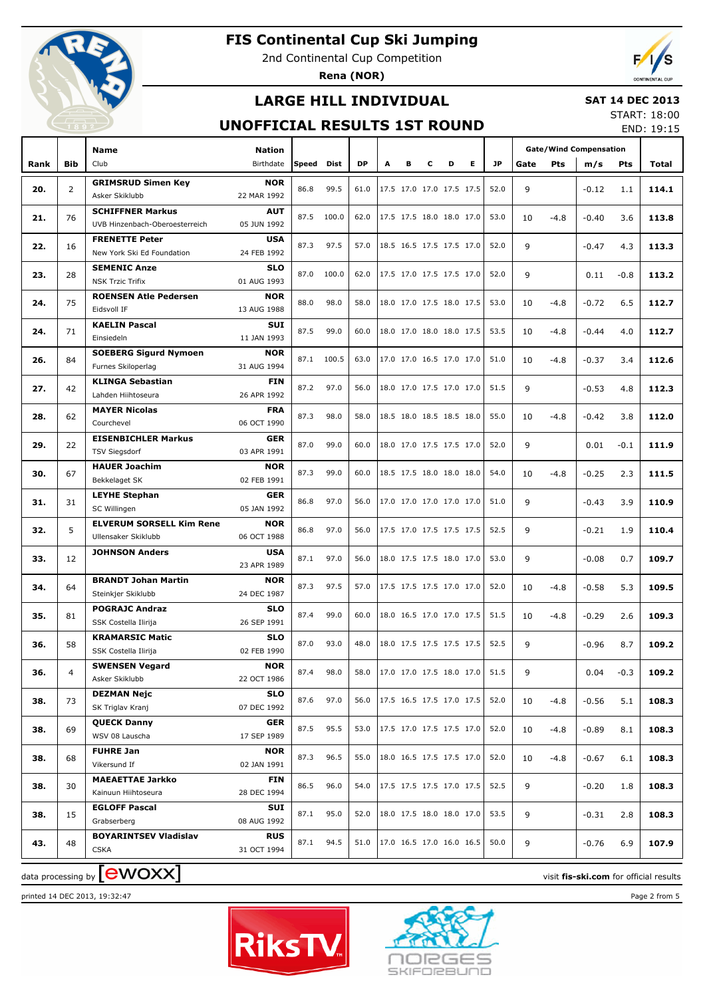

2nd Continental Cup Competition

**Rena (NOR)**



## **LARGE HILL INDIVIDUAL**

### **SAT 14 DEC 2013**

## **UNOFFICIAL RESULTS 1ST ROUND**

START: 18:00 END: 19:15

|      |                | <b>Name</b>                                 | <b>Nation</b>             |       |            |           |   |   |                          |   |                          |           |      | <b>Gate/Wind Compensation</b> |         |            |       |
|------|----------------|---------------------------------------------|---------------------------|-------|------------|-----------|---|---|--------------------------|---|--------------------------|-----------|------|-------------------------------|---------|------------|-------|
| Rank | Bib            | Club                                        | Birthdate                 | Speed | Dist       | <b>DP</b> | A | в | c                        | D | E.                       | <b>JP</b> | Gate | Pts                           | m/s     | <b>Pts</b> | Total |
| 20.  | $\overline{2}$ | <b>GRIMSRUD Simen Key</b><br>Asker Skiklubb | <b>NOR</b><br>22 MAR 1992 | 86.8  | 99.5       | 61.0      |   |   | 17.5 17.0 17.0 17.5 17.5 |   |                          | 52.0      | 9    |                               | $-0.12$ | 1.1        | 114.1 |
|      |                | <b>SCHIFFNER Markus</b>                     | <b>AUT</b>                |       |            |           |   |   | 17.5 17.5 18.0 18.0 17.0 |   |                          |           |      |                               |         |            |       |
| 21.  | 76             | UVB Hinzenbach-Oberoesterreich              | 05 JUN 1992               | 87.5  | 100.0      | 62.0      |   |   |                          |   |                          | 53.0      | 10   | $-4.8$                        | $-0.40$ | 3.6        | 113.8 |
| 22.  | 16             | <b>FRENETTE Peter</b>                       | <b>USA</b>                | 87.3  | 97.5       | 57.0      |   |   | 18.5 16.5 17.5 17.5 17.0 |   |                          | 52.0      | 9    |                               | $-0.47$ | 4.3        | 113.3 |
|      |                | New York Ski Ed Foundation                  | 24 FEB 1992               |       |            |           |   |   |                          |   |                          |           |      |                               |         |            |       |
| 23.  | 28             | <b>SEMENIC Anze</b>                         | <b>SLO</b>                | 87.0  | 100.0      | 62.0      |   |   | 17.5 17.0 17.5 17.5 17.0 |   |                          | 52.0      | 9    |                               | 0.11    | $-0.8$     | 113.2 |
|      |                | <b>NSK Trzic Trifix</b>                     | 01 AUG 1993               |       |            |           |   |   |                          |   |                          |           |      |                               |         |            |       |
| 24.  | 75             | <b>ROENSEN Atle Pedersen</b>                | <b>NOR</b>                | 88.0  | 98.0       | 58.0      |   |   | 18.0 17.0 17.5 18.0 17.5 |   |                          | 53.0      | 10   | $-4.8$                        | $-0.72$ | 6.5        | 112.7 |
|      |                | Eidsvoll IF                                 | 13 AUG 1988               |       |            |           |   |   |                          |   |                          |           |      |                               |         |            |       |
| 24.  | 71             | <b>KAELIN Pascal</b>                        | <b>SUI</b>                | 87.5  | 99.0       | 60.0      |   |   | 18.0 17.0 18.0 18.0 17.5 |   |                          | 53.5      | 10   | -4.8                          | $-0.44$ | 4.0        | 112.7 |
|      |                | Einsiedeln                                  | 11 JAN 1993               |       |            |           |   |   |                          |   |                          |           |      |                               |         |            |       |
| 26.  | 84             | <b>SOEBERG Sigurd Nymoen</b>                | <b>NOR</b>                |       | 87.1 100.5 | 63.0      |   |   | 17.0 17.0 16.5 17.0 17.0 |   |                          | 51.0      | 10   | -4.8                          | $-0.37$ | 3.4        | 112.6 |
|      |                | Furnes Skiloperlag                          | 31 AUG 1994               |       |            |           |   |   |                          |   |                          |           |      |                               |         |            |       |
| 27.  | 42             | <b>KLINGA Sebastian</b>                     | <b>FIN</b>                | 87.2  | 97.0       | 56.0      |   |   | 18.0 17.0 17.5 17.0 17.0 |   |                          | 51.5      | 9    |                               | $-0.53$ | 4.8        | 112.3 |
|      |                | Lahden Hiihtoseura                          | 26 APR 1992               |       |            |           |   |   |                          |   |                          |           |      |                               |         |            |       |
| 28.  | 62             | <b>MAYER Nicolas</b>                        | <b>FRA</b>                | 87.3  | 98.0       | 58.0      |   |   | 18.5 18.0 18.5 18.5 18.0 |   |                          | 55.0      | 10   | $-4.8$                        | $-0.42$ | 3.8        | 112.0 |
|      |                | Courchevel                                  | 06 OCT 1990               |       |            |           |   |   |                          |   |                          |           |      |                               |         |            |       |
| 29.  | 22             | <b>EISENBICHLER Markus</b>                  | <b>GER</b>                | 87.0  | 99.0       | 60.0      |   |   | 18.0 17.0 17.5 17.5 17.0 |   |                          | 52.0      | 9    |                               | 0.01    | $-0.1$     | 111.9 |
|      |                | <b>TSV Siegsdorf</b>                        | 03 APR 1991               |       |            |           |   |   |                          |   |                          |           |      |                               |         |            |       |
| 30.  | 67             | <b>HAUER Joachim</b>                        | <b>NOR</b>                | 87.3  | 99.0       | 60.0      |   |   | 18.5 17.5 18.0 18.0 18.0 |   |                          | 54.0      | 10   | $-4.8$                        | $-0.25$ | 2.3        | 111.5 |
|      |                | Bekkelaget SK                               | 02 FEB 1991               |       |            |           |   |   |                          |   |                          |           |      |                               |         |            |       |
| 31.  | 31             | <b>LEYHE Stephan</b><br>SC Willingen        | <b>GER</b><br>05 JAN 1992 | 86.8  | 97.0       | 56.0      |   |   | 17.0 17.0 17.0 17.0 17.0 |   |                          | 51.0      | 9    |                               | $-0.43$ | 3.9        | 110.9 |
|      |                | <b>ELVERUM SORSELL Kim Rene</b>             | <b>NOR</b>                |       |            |           |   |   |                          |   |                          |           |      |                               |         |            |       |
| 32.  | 5              | Ullensaker Skiklubb                         | 06 OCT 1988               | 86.8  | 97.0       | 56.0      |   |   | 17.5 17.0 17.5 17.5 17.5 |   |                          | 52.5      | 9    |                               | $-0.21$ | 1.9        | 110.4 |
|      |                | <b>JOHNSON Anders</b>                       | <b>USA</b>                |       |            |           |   |   |                          |   |                          |           |      |                               |         |            |       |
| 33.  | 12             |                                             | 23 APR 1989               | 87.1  | 97.0       | 56.0      |   |   | 18.0 17.5 17.5 18.0 17.0 |   |                          | 53.0      | 9    |                               | $-0.08$ | 0.7        | 109.7 |
|      |                | <b>BRANDT Johan Martin</b>                  | <b>NOR</b>                |       |            |           |   |   |                          |   |                          |           |      |                               |         |            |       |
| 34.  | 64             | Steinkjer Skiklubb                          | 24 DEC 1987               | 87.3  | 97.5       | 57.0      |   |   | 17.5 17.5 17.5 17.0 17.0 |   |                          | 52.0      | 10   | $-4.8$                        | $-0.58$ | 5.3        | 109.5 |
|      |                | <b>POGRAJC Andraz</b>                       | <b>SLO</b>                |       |            |           |   |   |                          |   |                          |           |      |                               |         |            |       |
| 35.  | 81             | SSK Costella Ilirija                        | 26 SEP 1991               | 87.4  | 99.0       | 60.0      |   |   | 18.0 16.5 17.0 17.0 17.5 |   |                          | 51.5      | 10   | $-4.8$                        | $-0.29$ | 2.6        | 109.3 |
|      |                | <b>KRAMARSIC Matic</b>                      | <b>SLO</b>                |       |            |           |   |   |                          |   |                          |           |      |                               |         |            |       |
| 36.  | 58             | SSK Costella Ilirija                        | 02 FEB 1990               | 87.0  | 93.0       | 48.0      |   |   | 18.0 17.5 17.5 17.5 17.5 |   |                          | 52.5      | 9    |                               | $-0.96$ | 8.7        | 109.2 |
|      |                | <b>SWENSEN Vegard</b>                       | <b>NOR</b>                |       |            |           |   |   |                          |   |                          |           |      |                               |         |            |       |
| 36.  | 4              | Asker Skiklubb                              | 22 OCT 1986               | 87.4  | 98.0       | 58.0      |   |   | 17.0 17.0 17.5 18.0 17.0 |   |                          | 51.5      | 9    |                               | 0.04    | $-0.3$     | 109.2 |
|      |                | <b>DEZMAN Nejc</b>                          | <b>SLO</b>                |       |            |           |   |   | 17.5 16.5 17.5 17.0 17.5 |   |                          |           |      |                               |         |            |       |
| 38.  | 73             | SK Triglav Kranj                            | 07 DEC 1992               | 87.6  | 97.0       | 56.0      |   |   |                          |   |                          | 52.0      | 10   | -4.8                          | $-0.56$ | 5.1        | 108.3 |
| 38.  | 69             | <b>QUECK Danny</b>                          | <b>GER</b>                | 87.5  | 95.5       | 53.0      |   |   | 17.5 17.0 17.5 17.5 17.0 |   |                          | 52.0      |      |                               |         | 8.1        | 108.3 |
|      |                | WSV 08 Lauscha                              | 17 SEP 1989               |       |            |           |   |   |                          |   |                          |           | 10   | -4.8                          | $-0.89$ |            |       |
|      |                | <b>FUHRE Jan</b>                            | <b>NOR</b>                | 87.3  | 96.5       | 55.0      |   |   | 18.0 16.5 17.5 17.5 17.0 |   |                          | 52.0      |      |                               |         |            |       |
| 38.  | 68             | Vikersund If                                | 02 JAN 1991               |       |            |           |   |   |                          |   |                          |           | 10   | $-4.8$                        | $-0.67$ | 6.1        | 108.3 |
| 38.  | 30             | <b>MAEAETTAE Jarkko</b>                     | FIN                       | 86.5  | 96.0       | 54.0      |   |   | 17.5 17.5 17.5 17.0 17.5 |   |                          | 52.5      | 9    |                               | $-0.20$ | 1.8        | 108.3 |
|      |                | Kainuun Hiihtoseura                         | 28 DEC 1994               |       |            |           |   |   |                          |   |                          |           |      |                               |         |            |       |
| 38.  | 15             | <b>EGLOFF Pascal</b>                        | SUI                       | 87.1  | 95.0       | 52.0      |   |   |                          |   | 18.0 17.5 18.0 18.0 17.0 | 53.5      | 9    |                               | $-0.31$ | 2.8        | 108.3 |
|      |                | Grabserberg                                 | 08 AUG 1992               |       |            |           |   |   |                          |   |                          |           |      |                               |         |            |       |
| 43.  | 48             | <b>BOYARINTSEV Vladislav</b>                | <b>RUS</b>                | 87.1  | 94.5       | 51.0      |   |   | 17.0 16.5 17.0 16.0 16.5 |   |                          | 50.0      | 9    |                               | $-0.76$ | 6.9        | 107.9 |
|      |                | <b>CSKA</b>                                 | 31 OCT 1994               |       |            |           |   |   |                          |   |                          |           |      |                               |         |            |       |

data processing by **CWOXX** and  $\overline{A}$  and  $\overline{B}$  wisit **fis-ski.com** for official results

printed 14 DEC 2013, 19:32:47 Page 2 from 5



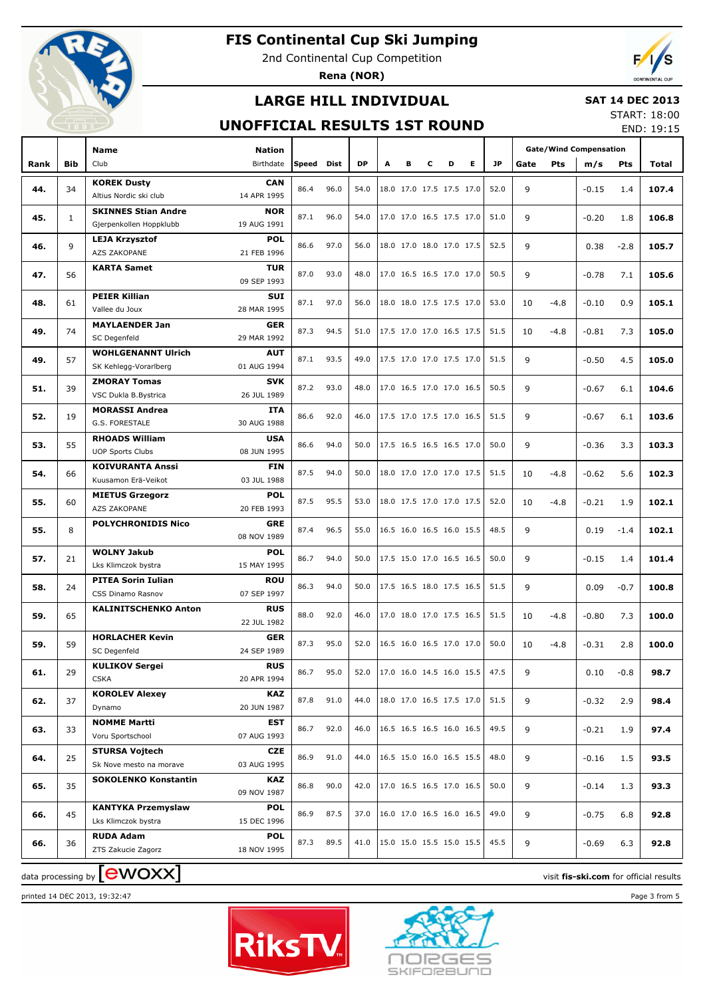

2nd Continental Cup Competition

**Rena (NOR)**

## **LARGE HILL INDIVIDUAL**

### **SAT 14 DEC 2013** START: 18:00

## **UNOFFICIAL RESULTS 1ST ROUND**

END: 19:15

|      |              | <b>Name</b>                                        | <b>Nation</b>             |       |      |           |   |                          |   |   |    |           | <b>Gate/Wind Compensation</b> |        |         |            |       |
|------|--------------|----------------------------------------------------|---------------------------|-------|------|-----------|---|--------------------------|---|---|----|-----------|-------------------------------|--------|---------|------------|-------|
| Rank | <b>Bib</b>   | Club                                               | Birthdate                 | Speed | Dist | <b>DP</b> | A | в                        | c | D | E. | <b>JP</b> | Gate                          | Pts    | m/s     | <b>Pts</b> | Total |
|      |              | <b>KOREK Dusty</b>                                 | <b>CAN</b>                |       |      |           |   |                          |   |   |    |           |                               |        |         |            |       |
| 44.  | 34           | Altius Nordic ski club                             | 14 APR 1995               | 86.4  | 96.0 | 54.0      |   | 18.0 17.0 17.5 17.5 17.0 |   |   |    | 52.0      | 9                             |        | $-0.15$ | 1.4        | 107.4 |
|      |              | <b>SKINNES Stian Andre</b>                         | <b>NOR</b>                |       |      |           |   |                          |   |   |    |           |                               |        |         |            |       |
| 45.  | $\mathbf{1}$ | Gjerpenkollen Hoppklubb                            | 19 AUG 1991               | 87.1  | 96.0 | 54.0      |   | 17.0 17.0 16.5 17.5 17.0 |   |   |    | 51.0      | 9                             |        | $-0.20$ | 1.8        | 106.8 |
|      |              | <b>LEJA Krzysztof</b>                              | <b>POL</b>                | 86.6  | 97.0 |           |   |                          |   |   |    | 52.5      |                               |        |         |            |       |
| 46.  | 9            | AZS ZAKOPANE                                       | 21 FEB 1996               |       |      | 56.0      |   | 18.0 17.0 18.0 17.0 17.5 |   |   |    |           | 9                             |        | 0.38    | $-2.8$     | 105.7 |
| 47.  | 56           | <b>KARTA Samet</b>                                 | <b>TUR</b>                | 87.0  | 93.0 | 48.0      |   | 17.0 16.5 16.5 17.0 17.0 |   |   |    | 50.5      | 9                             |        | $-0.78$ | 7.1        | 105.6 |
|      |              |                                                    | 09 SEP 1993               |       |      |           |   |                          |   |   |    |           |                               |        |         |            |       |
| 48.  | 61           | <b>PEIER Killian</b>                               | <b>SUI</b>                | 87.1  | 97.0 | 56.0      |   | 18.0 18.0 17.5 17.5 17.0 |   |   |    | 53.0      | 10                            | $-4.8$ | $-0.10$ | 0.9        | 105.1 |
|      |              | Vallee du Joux                                     | 28 MAR 1995               |       |      |           |   |                          |   |   |    |           |                               |        |         |            |       |
| 49.  | 74           | <b>MAYLAENDER Jan</b>                              | <b>GER</b>                | 87.3  | 94.5 | 51.0      |   | 17.5 17.0 17.0 16.5 17.5 |   |   |    | 51.5      | 10                            | $-4.8$ | $-0.81$ | 7.3        | 105.0 |
|      |              | SC Degenfeld                                       | 29 MAR 1992               |       |      |           |   |                          |   |   |    |           |                               |        |         |            |       |
| 49.  | 57           | <b>WOHLGENANNT Ulrich</b><br>SK Kehlegg-Vorarlberg | <b>AUT</b><br>01 AUG 1994 | 87.1  | 93.5 | 49.0      |   | 17.5 17.0 17.0 17.5 17.0 |   |   |    | 51.5      | 9                             |        | $-0.50$ | 4.5        | 105.0 |
|      |              | <b>ZMORAY Tomas</b>                                | <b>SVK</b>                |       |      |           |   |                          |   |   |    |           |                               |        |         |            |       |
| 51.  | 39           | VSC Dukla B.Bystrica                               | 26 JUL 1989               | 87.2  | 93.0 | 48.0      |   | 17.0 16.5 17.0 17.0 16.5 |   |   |    | 50.5      | 9                             |        | $-0.67$ | 6.1        | 104.6 |
|      |              | <b>MORASSI Andrea</b>                              | <b>ITA</b>                |       |      |           |   |                          |   |   |    |           |                               |        |         |            |       |
| 52.  | 19           | G.S. FORESTALE                                     | 30 AUG 1988               | 86.6  | 92.0 | 46.0      |   | 17.5 17.0 17.5 17.0 16.5 |   |   |    | 51.5      | 9                             |        | $-0.67$ | 6.1        | 103.6 |
|      |              | <b>RHOADS William</b>                              | <b>USA</b>                |       |      |           |   |                          |   |   |    |           |                               |        |         |            |       |
| 53.  | 55           | <b>UOP Sports Clubs</b>                            | 08 JUN 1995               | 86.6  | 94.0 | 50.0      |   | 17.5 16.5 16.5 16.5 17.0 |   |   |    | 50.0      | 9                             |        | $-0.36$ | 3.3        | 103.3 |
|      |              | <b>KOIVURANTA Anssi</b>                            | <b>FIN</b>                |       |      |           |   |                          |   |   |    |           |                               |        |         |            |       |
| 54.  | 66           | Kuusamon Erä-Veikot                                | 03 JUL 1988               | 87.5  | 94.0 | 50.0      |   | 18.0 17.0 17.0 17.0 17.5 |   |   |    | 51.5      | 10                            | $-4.8$ | $-0.62$ | 5.6        | 102.3 |
| 55.  | 60           | <b>MIETUS Grzegorz</b>                             | <b>POL</b>                | 87.5  | 95.5 | 53.0      |   | 18.0 17.5 17.0 17.0 17.5 |   |   |    | 52.0      | 10                            | $-4.8$ | $-0.21$ | 1.9        | 102.1 |
|      |              | <b>AZS ZAKOPANE</b>                                | 20 FEB 1993               |       |      |           |   |                          |   |   |    |           |                               |        |         |            |       |
| 55.  | 8            | <b>POLYCHRONIDIS Nico</b>                          | <b>GRE</b>                | 87.4  | 96.5 | 55.0      |   | 16.5 16.0 16.5 16.0 15.5 |   |   |    | 48.5      | 9                             |        | 0.19    | $-1.4$     | 102.1 |
|      |              |                                                    | 08 NOV 1989               |       |      |           |   |                          |   |   |    |           |                               |        |         |            |       |
| 57.  | 21           | <b>WOLNY Jakub</b>                                 | <b>POL</b>                | 86.7  | 94.0 | 50.0      |   | 17.5 15.0 17.0 16.5 16.5 |   |   |    | 50.0      | 9                             |        | $-0.15$ | 1.4        | 101.4 |
|      |              | Lks Klimczok bystra                                | 15 MAY 1995               |       |      |           |   |                          |   |   |    |           |                               |        |         |            |       |
| 58.  | 24           | <b>PITEA Sorin Iulian</b><br>CSS Dinamo Rasnov     | <b>ROU</b><br>07 SEP 1997 | 86.3  | 94.0 | 50.0      |   | 17.5 16.5 18.0 17.5 16.5 |   |   |    | 51.5      | 9                             |        | 0.09    | $-0.7$     | 100.8 |
|      |              | <b>KALINITSCHENKO Anton</b>                        | <b>RUS</b>                |       |      |           |   |                          |   |   |    |           |                               |        |         |            |       |
| 59.  | 65           |                                                    | 22 JUL 1982               | 88.0  | 92.0 | 46.0      |   | 17.0 18.0 17.0 17.5 16.5 |   |   |    | 51.5      | 10                            | $-4.8$ | $-0.80$ | 7.3        | 100.0 |
|      |              | <b>HORLACHER Kevin</b>                             | <b>GER</b>                |       |      |           |   |                          |   |   |    |           |                               |        |         |            |       |
| 59.  | 59           | SC Degenfeld                                       | 24 SEP 1989               | 87.3  | 95.0 | 52.0      |   | 16.5 16.0 16.5 17.0 17.0 |   |   |    | 50.0      | 10                            | $-4.8$ | $-0.31$ | 2.8        | 100.0 |
|      |              | <b>KULIKOV Sergei</b>                              | <b>RUS</b>                |       |      |           |   |                          |   |   |    |           |                               |        |         |            |       |
| 61.  | 29           | <b>CSKA</b>                                        | 20 APR 1994               | 86.7  | 95.0 | 52.0      |   | 17.0 16.0 14.5 16.0 15.5 |   |   |    | 47.5      | 9                             |        | 0.10    | $-0.8$     | 98.7  |
| 62.  | 37           | <b>KOROLEV Alexey</b>                              | KAZ                       | 87.8  | 91.0 | 44.0      |   | 18.0 17.0 16.5 17.5 17.0 |   |   |    | 51.5      | 9                             |        |         | 2.9        | 98.4  |
|      |              | Dynamo                                             | 20 JUN 1987               |       |      |           |   |                          |   |   |    |           |                               |        | $-0.32$ |            |       |
| 63.  | 33           | <b>NOMME Martti</b>                                | EST                       | 86.7  | 92.0 | 46.0      |   | 16.5 16.5 16.5 16.0 16.5 |   |   |    | 49.5      | 9                             |        | $-0.21$ | 1.9        | 97.4  |
|      |              | Voru Sportschool                                   | 07 AUG 1993               |       |      |           |   |                          |   |   |    |           |                               |        |         |            |       |
| 64.  | 25           | <b>STURSA Vojtech</b>                              | <b>CZE</b>                | 86.9  | 91.0 | 44.0      |   | 16.5 15.0 16.0 16.5 15.5 |   |   |    | 48.0      | 9                             |        | $-0.16$ | 1.5        | 93.5  |
|      |              | Sk Nove mesto na morave                            | 03 AUG 1995               |       |      |           |   |                          |   |   |    |           |                               |        |         |            |       |
| 65.  | 35           | <b>SOKOLENKO Konstantin</b>                        | <b>KAZ</b><br>09 NOV 1987 | 86.8  | 90.0 | 42.0      |   | 17.0 16.5 16.5 17.0 16.5 |   |   |    | 50.0      | 9                             |        | $-0.14$ | 1.3        | 93.3  |
|      |              | <b>KANTYKA Przemyslaw</b>                          | <b>POL</b>                |       |      |           |   |                          |   |   |    |           |                               |        |         |            |       |
| 66.  | 45           | Lks Klimczok bystra                                | 15 DEC 1996               | 86.9  | 87.5 | 37.0      |   | 16.0 17.0 16.5 16.0 16.5 |   |   |    | 49.0      | 9                             |        | $-0.75$ | 6.8        | 92.8  |
|      |              | <b>RUDA Adam</b>                                   | <b>POL</b>                |       |      |           |   |                          |   |   |    |           |                               |        |         |            |       |
| 66.  | 36           | ZTS Zakucie Zagorz                                 | 18 NOV 1995               | 87.3  | 89.5 | 41.0      |   | 15.0 15.0 15.5 15.0 15.5 |   |   |    | 45.5      | 9                             |        | $-0.69$ | 6.3        | 92.8  |
|      |              |                                                    |                           |       |      |           |   |                          |   |   |    |           |                               |        |         |            |       |

printed 14 DEC 2013, 19:32:47 Page 3 from 5





data processing by **CWOXX** and  $\overline{C}$  and  $\overline{C}$  and  $\overline{C}$  and  $\overline{C}$  and  $\overline{C}$  and  $\overline{C}$  and  $\overline{C}$  and  $\overline{C}$  and  $\overline{C}$  and  $\overline{C}$  and  $\overline{C}$  and  $\overline{C}$  and  $\overline{C}$  and  $\overline{C}$  and  $\overline{C}$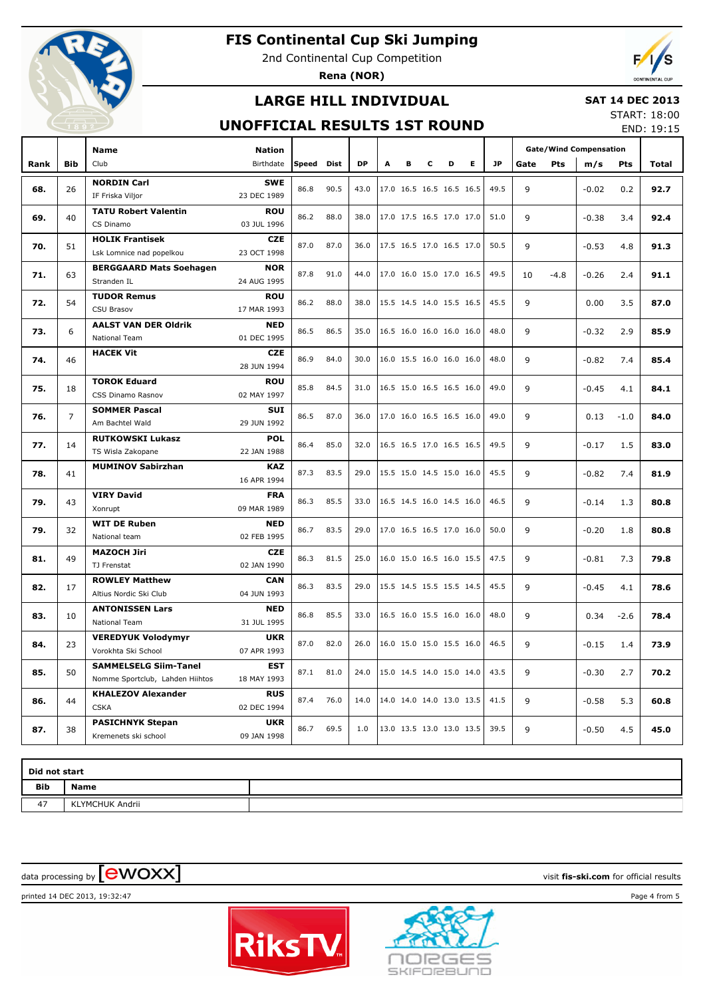

2nd Continental Cup Competition

**Rena (NOR)**

## **LARGE HILL INDIVIDUAL**

### **SAT 14 DEC 2013**

## **UNOFFICIAL RESULTS 1ST ROUND**

START: 18:00 END: 19:15

|      |                | <b>Name</b>                     | <b>Nation</b>             |       |             |           |   |                          |   |                          |    |           |      | <b>Gate/Wind Compensation</b> |         |        |              |  |
|------|----------------|---------------------------------|---------------------------|-------|-------------|-----------|---|--------------------------|---|--------------------------|----|-----------|------|-------------------------------|---------|--------|--------------|--|
| Rank | <b>Bib</b>     | Club                            | Birthdate                 | Speed | <b>Dist</b> | <b>DP</b> | A | в                        | c | D                        | E. | <b>JP</b> | Gate | Pts                           | m/s     | Pts    | <b>Total</b> |  |
|      |                | <b>NORDIN Carl</b>              | <b>SWE</b>                |       |             |           |   |                          |   |                          |    |           |      |                               |         |        |              |  |
| 68.  | 26             | IF Friska Viljor                | 23 DEC 1989               | 86.8  | 90.5        | 43.0      |   | 17.0 16.5 16.5 16.5 16.5 |   |                          |    | 49.5      | 9    |                               | $-0.02$ | 0.2    | 92.7         |  |
| 69.  | 40             | <b>TATU Robert Valentin</b>     | <b>ROU</b>                | 86.2  | 88.0        | 38.0      |   | 17.0 17.5 16.5 17.0 17.0 |   |                          |    | 51.0      | 9    |                               | $-0.38$ | 3.4    | 92.4         |  |
|      |                | CS Dinamo                       | 03 JUL 1996               |       |             |           |   |                          |   |                          |    |           |      |                               |         |        |              |  |
| 70.  | 51             | <b>HOLIK Frantisek</b>          | <b>CZE</b>                | 87.0  | 87.0        | 36.0      |   | 17.5 16.5 17.0 16.5 17.0 |   |                          |    | 50.5      | 9    |                               | $-0.53$ | 4.8    | 91.3         |  |
|      |                | Lsk Lomnice nad popelkou        | 23 OCT 1998               |       |             |           |   |                          |   |                          |    |           |      |                               |         |        |              |  |
| 71.  | 63             | <b>BERGGAARD Mats Soehagen</b>  | <b>NOR</b>                | 87.8  | 91.0        | 44.0      |   | 17.0 16.0 15.0 17.0 16.5 |   |                          |    | 49.5      | 10   | $-4.8$                        | $-0.26$ | 2.4    | 91.1         |  |
|      |                | Stranden IL                     | 24 AUG 1995<br><b>ROU</b> |       |             |           |   |                          |   |                          |    |           |      |                               |         |        |              |  |
| 72.  | 54             | <b>TUDOR Remus</b>              |                           | 86.2  | 88.0        | 38.0      |   | 15.5 14.5 14.0 15.5 16.5 |   |                          |    | 45.5      | 9    |                               | 0.00    | 3.5    | 87.0         |  |
|      |                | <b>CSU Brasov</b>               | 17 MAR 1993               |       |             |           |   |                          |   |                          |    |           |      |                               |         |        |              |  |
| 73.  | 6              | <b>AALST VAN DER Oldrik</b>     | <b>NED</b>                | 86.5  | 86.5        | 35.0      |   | 16.5 16.0 16.0 16.0 16.0 |   |                          |    | 48.0      | 9    |                               | $-0.32$ | 2.9    | 85.9         |  |
|      |                | National Team                   | 01 DEC 1995               |       |             |           |   |                          |   |                          |    |           |      |                               |         |        |              |  |
| 74.  | 46             | <b>HACEK Vit</b>                | <b>CZE</b><br>28 JUN 1994 | 86.9  | 84.0        | 30.0      |   | 16.0 15.5 16.0 16.0 16.0 |   |                          |    | 48.0      | 9    |                               | $-0.82$ | 7.4    | 85.4         |  |
| 75.  | 18             | <b>TOROK Eduard</b>             | <b>ROU</b>                | 85.8  | 84.5        | 31.0      |   | 16.5 15.0 16.5 16.5 16.0 |   |                          |    | 49.0      | 9    |                               | $-0.45$ | 4.1    | 84.1         |  |
|      |                | CSS Dinamo Rasnov               | 02 MAY 1997               |       |             |           |   |                          |   |                          |    |           |      |                               |         |        |              |  |
| 76.  | $\overline{7}$ | <b>SOMMER Pascal</b>            | <b>SUI</b>                | 86.5  | 87.0        | 36.0      |   | 17.0 16.0 16.5 16.5 16.0 |   |                          |    | 49.0      | 9    |                               | 0.13    | $-1.0$ | 84.0         |  |
|      |                | Am Bachtel Wald                 | 29 JUN 1992               |       |             |           |   |                          |   |                          |    |           |      |                               |         |        |              |  |
| 77.  | 14             | <b>RUTKOWSKI Lukasz</b>         | <b>POL</b>                | 86.4  | 85.0        | 32.0      |   | 16.5 16.5 17.0 16.5 16.5 |   |                          |    | 49.5      | 9    |                               | $-0.17$ | 1.5    | 83.0         |  |
|      |                | TS Wisla Zakopane               | 22 JAN 1988               |       |             |           |   |                          |   |                          |    |           |      |                               |         |        |              |  |
| 78.  | 41             | <b>MUMINOV Sabirzhan</b>        | <b>KAZ</b>                | 87.3  | 83.5        | 29.0      |   | 15.5 15.0 14.5 15.0 16.0 |   |                          |    | 45.5      | 9    |                               | $-0.82$ | 7.4    | 81.9         |  |
|      |                |                                 | 16 APR 1994               |       |             |           |   |                          |   |                          |    |           |      |                               |         |        |              |  |
| 79.  | 43             | <b>VIRY David</b><br>Xonrupt    | <b>FRA</b><br>09 MAR 1989 | 86.3  | 85.5        | 33.0      |   | 16.5 14.5 16.0 14.5 16.0 |   |                          |    | 46.5      | 9    |                               | $-0.14$ | 1.3    | 80.8         |  |
|      |                | <b>WIT DE Ruben</b>             | <b>NED</b>                |       |             |           |   |                          |   |                          |    |           |      |                               |         |        |              |  |
| 79.  | 32             | National team                   | 02 FEB 1995               | 86.7  | 83.5        | 29.0      |   | 17.0 16.5 16.5 17.0 16.0 |   |                          |    | 50.0      | 9    |                               | $-0.20$ | 1.8    | 80.8         |  |
|      |                | <b>MAZOCH Jiri</b>              | <b>CZE</b>                |       |             |           |   |                          |   |                          |    |           |      |                               |         |        |              |  |
| 81.  | 49             | TJ Frenstat                     | 02 JAN 1990               | 86.3  | 81.5        | 25.0      |   | 16.0 15.0 16.5 16.0 15.5 |   |                          |    | 47.5      | 9    |                               | $-0.81$ | 7.3    | 79.8         |  |
|      |                | <b>ROWLEY Matthew</b>           | <b>CAN</b>                |       |             |           |   |                          |   |                          |    |           |      |                               |         |        |              |  |
| 82.  | 17             | Altius Nordic Ski Club          | 04 JUN 1993               | 86.3  | 83.5        | 29.0      |   | 15.5 14.5 15.5 15.5 14.5 |   |                          |    | 45.5      | 9    |                               | $-0.45$ | 4.1    | 78.6         |  |
|      |                | <b>ANTONISSEN Lars</b>          | <b>NED</b>                |       |             |           |   |                          |   |                          |    |           |      |                               |         |        |              |  |
| 83.  | 10             | National Team                   | 31 JUL 1995               | 86.8  | 85.5        | 33.0      |   | 16.5 16.0 15.5 16.0 16.0 |   |                          |    | 48.0      | 9    |                               | 0.34    | $-2.6$ | 78.4         |  |
|      |                | <b>VEREDYUK Volodymyr</b>       | <b>UKR</b>                | 87.0  | 82.0        | 26.0      |   | 16.0 15.0 15.0 15.5 16.0 |   |                          |    | 46.5      | 9    |                               |         |        |              |  |
| 84.  | 23             | Vorokhta Ski School             | 07 APR 1993               |       |             |           |   |                          |   |                          |    |           |      |                               | $-0.15$ | 1.4    | 73.9         |  |
| 85.  | 50             | <b>SAMMELSELG Siim-Tanel</b>    | <b>EST</b>                | 87.1  | 81.0        | 24.0      |   | 15.0 14.5 14.0 15.0 14.0 |   |                          |    | 43.5      | 9    |                               | $-0.30$ | 2.7    | 70.2         |  |
|      |                | Nomme Sportclub, Lahden Hiihtos | 18 MAY 1993               |       |             |           |   |                          |   |                          |    |           |      |                               |         |        |              |  |
| 86.  | 44             | <b>KHALEZOV Alexander</b>       | <b>RUS</b>                | 87.4  | 76.0        | 14.0      |   |                          |   |                          |    | 41.5      | 9    |                               | $-0.58$ | 5.3    | 60.8         |  |
|      |                | <b>CSKA</b>                     | 02 DEC 1994               |       |             |           |   |                          |   | 14.0 14.0 14.0 13.0 13.5 |    |           |      |                               |         |        |              |  |
| 87.  | 38             | <b>PASICHNYK Stepan</b>         | <b>UKR</b>                | 86.7  | 69.5        | 1.0       |   | 13.0 13.5 13.0 13.0 13.5 |   |                          |    | 39.5      | 9    |                               | $-0.50$ | 4.5    | 45.0         |  |
|      |                | Kremenets ski school            | 09 JAN 1998               |       |             |           |   |                          |   |                          |    |           |      |                               |         |        |              |  |

| Did not start |                 |  |  |  |  |  |  |  |  |  |  |
|---------------|-----------------|--|--|--|--|--|--|--|--|--|--|
| <b>Bib</b>    | Name            |  |  |  |  |  |  |  |  |  |  |
| 47            | KLYMCHUK Andrii |  |  |  |  |  |  |  |  |  |  |

data processing by **CWOXX** and  $\overline{C}$  and  $\overline{C}$  and  $\overline{C}$  and  $\overline{C}$  and  $\overline{C}$  and  $\overline{C}$  and  $\overline{C}$  and  $\overline{C}$  and  $\overline{C}$  and  $\overline{C}$  and  $\overline{C}$  and  $\overline{C}$  and  $\overline{C}$  and  $\overline{C}$  and  $\overline{C}$ 

printed 14 DEC 2013, 19:32:47 Page 4 from 5